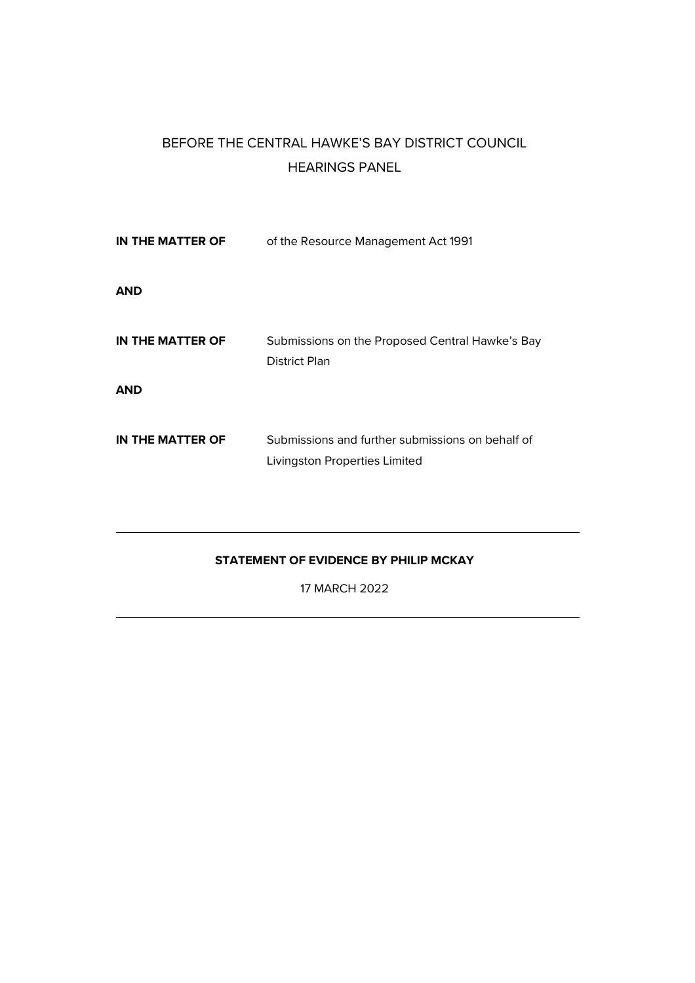# BEFORE THE CENTRAL HAWKE'S BAY DISTRICT COUNCIL HEARINGS PANEL

| IN THE MATTER OF | of the Resource Management Act 1991                                               |
|------------------|-----------------------------------------------------------------------------------|
| <b>AND</b>       |                                                                                   |
| IN THE MATTER OF | Submissions on the Proposed Central Hawke's Bay<br>District Plan                  |
| <b>AND</b>       |                                                                                   |
| IN THE MATTER OF | Submissions and further submissions on behalf of<br>Livingston Properties Limited |

# **STATEMENT OF EVIDENCE BY PHILIP MCKAY**

17 MARCH 2022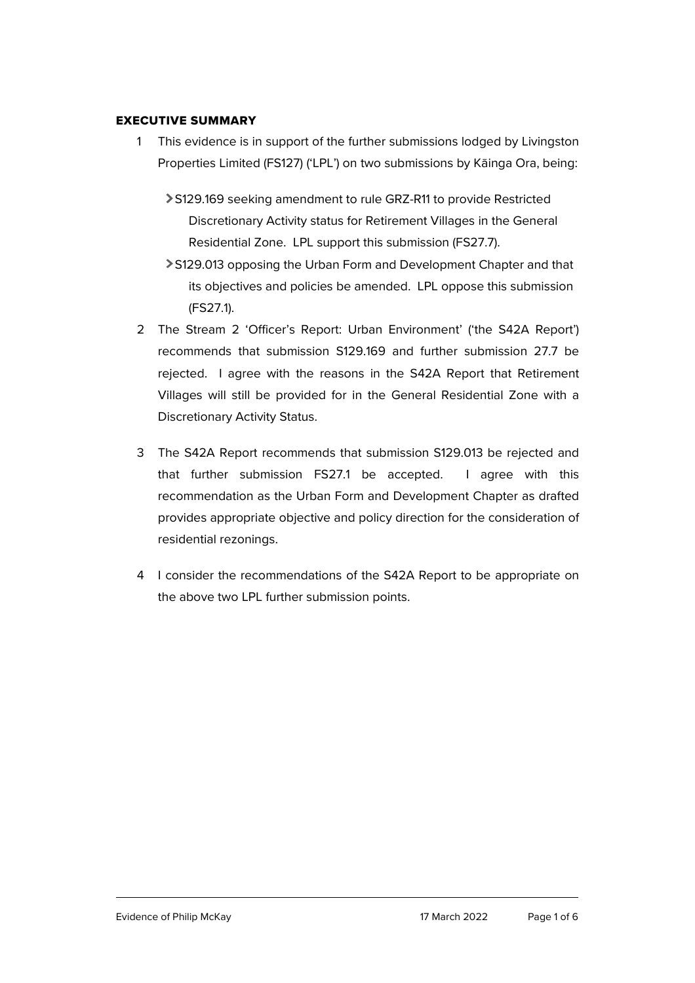### EXECUTIVE SUMMARY

- 1 This evidence is in support of the further submissions lodged by Livingston Properties Limited (FS127) ('LPL') on two submissions by Kāinga Ora, being:
	- S129.169 seeking amendment to rule GRZ-R11 to provide Restricted Discretionary Activity status for Retirement Villages in the General Residential Zone. LPL support this submission (FS27.7).
	- S129.013 opposing the Urban Form and Development Chapter and that its objectives and policies be amended. LPL oppose this submission (FS27.1).
- 2 The Stream 2 'Officer's Report: Urban Environment' ('the S42A Report') recommends that submission S129.169 and further submission 27.7 be rejected. I agree with the reasons in the S42A Report that Retirement Villages will still be provided for in the General Residential Zone with a Discretionary Activity Status.
- 3 The S42A Report recommends that submission S129.013 be rejected and that further submission FS27.1 be accepted. I agree with this recommendation as the Urban Form and Development Chapter as drafted provides appropriate objective and policy direction for the consideration of residential rezonings.
- 4 I consider the recommendations of the S42A Report to be appropriate on the above two LPL further submission points.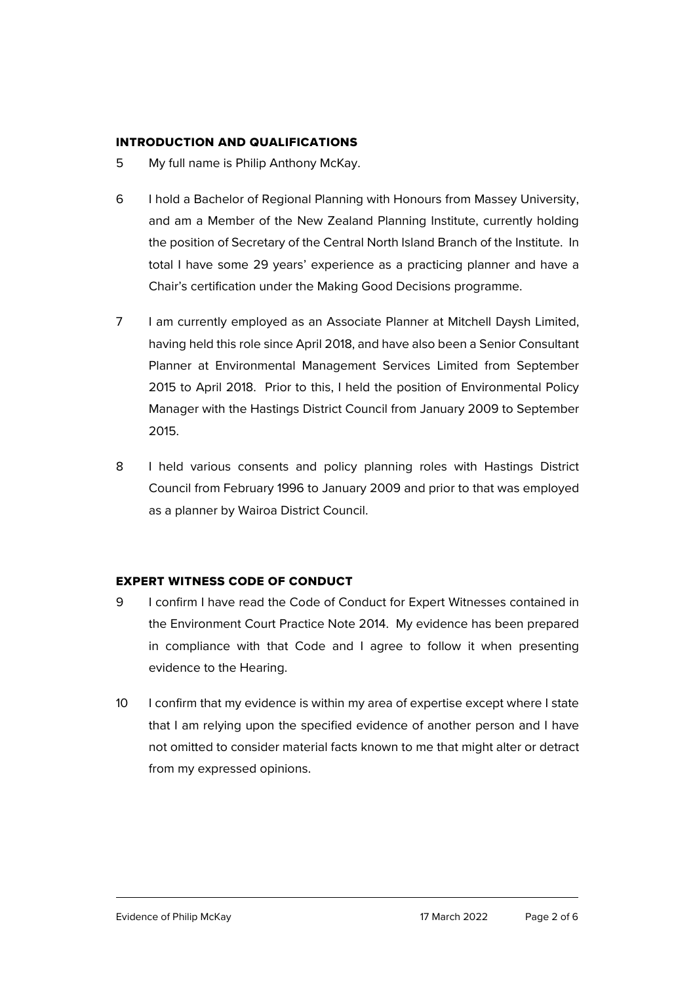### INTRODUCTION AND QUALIFICATIONS

- 5 My full name is Philip Anthony McKay.
- 6 I hold a Bachelor of Regional Planning with Honours from Massey University, and am a Member of the New Zealand Planning Institute, currently holding the position of Secretary of the Central North Island Branch of the Institute. In total I have some 29 years' experience as a practicing planner and have a Chair's certification under the Making Good Decisions programme.
- 7 I am currently employed as an Associate Planner at Mitchell Daysh Limited, having held this role since April 2018, and have also been a Senior Consultant Planner at Environmental Management Services Limited from September 2015 to April 2018. Prior to this, I held the position of Environmental Policy Manager with the Hastings District Council from January 2009 to September 2015.
- 8 I held various consents and policy planning roles with Hastings District Council from February 1996 to January 2009 and prior to that was employed as a planner by Wairoa District Council.

# EXPERT WITNESS CODE OF CONDUCT

- 9 I confirm I have read the Code of Conduct for Expert Witnesses contained in the Environment Court Practice Note 2014. My evidence has been prepared in compliance with that Code and I agree to follow it when presenting evidence to the Hearing.
- 10 I confirm that my evidence is within my area of expertise except where I state that I am relying upon the specified evidence of another person and I have not omitted to consider material facts known to me that might alter or detract from my expressed opinions.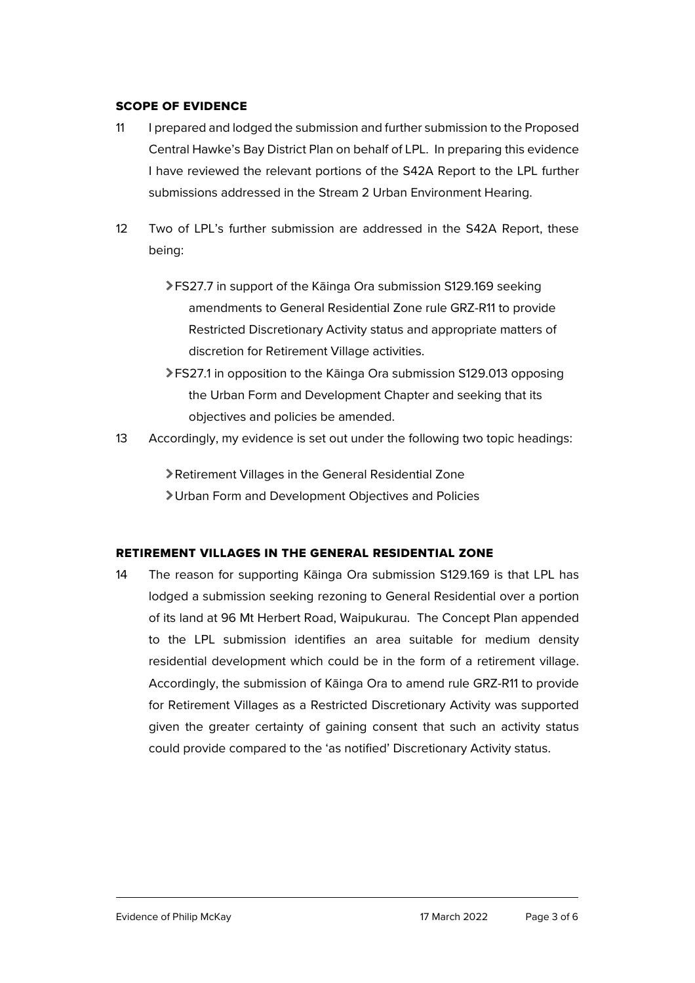#### SCOPE OF EVIDENCE

- 11 I prepared and lodged the submission and further submission to the Proposed Central Hawke's Bay District Plan on behalf of LPL. In preparing this evidence I have reviewed the relevant portions of the S42A Report to the LPL further submissions addressed in the Stream 2 Urban Environment Hearing.
- 12 Two of LPL's further submission are addressed in the S42A Report, these being:
	- FS27.7 in support of the Kāinga Ora submission S129.169 seeking amendments to General Residential Zone rule GRZ-R11 to provide Restricted Discretionary Activity status and appropriate matters of discretion for Retirement Village activities.
	- FS27.1 in opposition to the Kāinga Ora submission S129.013 opposing the Urban Form and Development Chapter and seeking that its objectives and policies be amended.
- 13 Accordingly, my evidence is set out under the following two topic headings:

Retirement Villages in the General Residential Zone Urban Form and Development Objectives and Policies

# RETIREMENT VILLAGES IN THE GENERAL RESIDENTIAL ZONE

14 The reason for supporting Kāinga Ora submission S129.169 is that LPL has lodged a submission seeking rezoning to General Residential over a portion of its land at 96 Mt Herbert Road, Waipukurau. The Concept Plan appended to the LPL submission identifies an area suitable for medium density residential development which could be in the form of a retirement village. Accordingly, the submission of Kāinga Ora to amend rule GRZ-R11 to provide for Retirement Villages as a Restricted Discretionary Activity was supported given the greater certainty of gaining consent that such an activity status could provide compared to the 'as notified' Discretionary Activity status.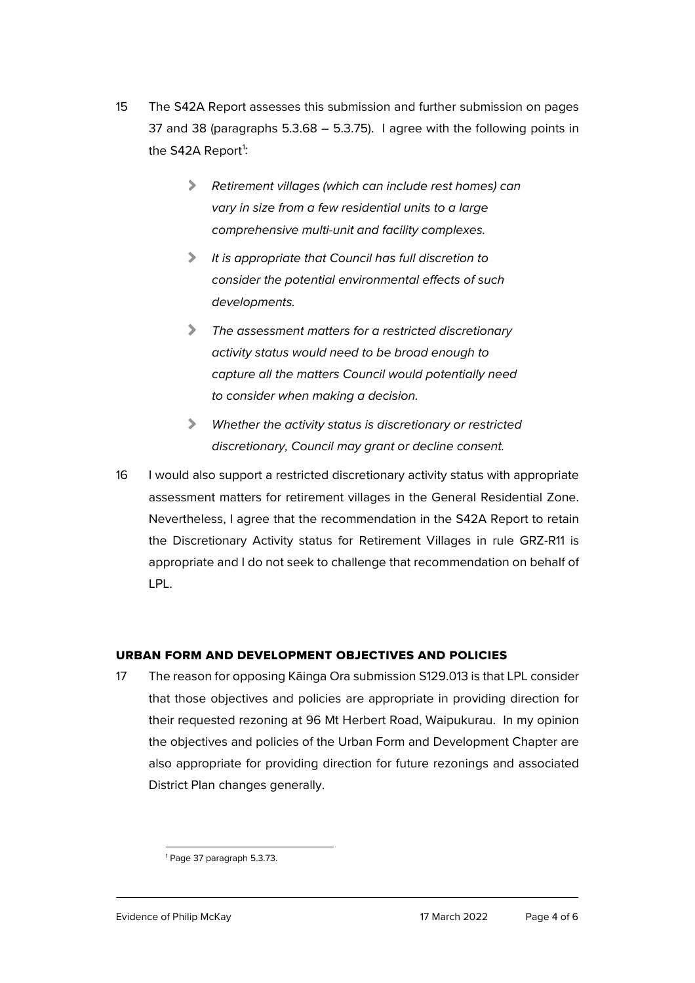- 15 The S42A Report assesses this submission and further submission on pages 37 and 38 (paragraphs 5.3.68 – 5.3.75). I agree with the following points in the S42A Report<sup>[1](#page-4-0)</sup>:
	- *Retirement villages (which can include rest homes) can vary in size from a few residential units to a large comprehensive multi-unit and facility complexes.*
	- $\blacktriangleright$ *It is appropriate that Council has full discretion to consider the potential environmental effects of such developments.*
	- $\blacktriangleright$ *The assessment matters for a restricted discretionary activity status would need to be broad enough to capture all the matters Council would potentially need to consider when making a decision.*
	- *Whether the activity status is discretionary or restricted discretionary, Council may grant or decline consent.*
- 16 I would also support a restricted discretionary activity status with appropriate assessment matters for retirement villages in the General Residential Zone. Nevertheless, I agree that the recommendation in the S42A Report to retain the Discretionary Activity status for Retirement Villages in rule GRZ-R11 is appropriate and I do not seek to challenge that recommendation on behalf of LPL.

# URBAN FORM AND DEVELOPMENT OBJECTIVES AND POLICIES

17 The reason for opposing Kāinga Ora submission S129.013 is that LPL consider that those objectives and policies are appropriate in providing direction for their requested rezoning at 96 Mt Herbert Road, Waipukurau. In my opinion the objectives and policies of the Urban Form and Development Chapter are also appropriate for providing direction for future rezonings and associated District Plan changes generally.

<span id="page-4-0"></span><sup>1</sup> Page 37 paragraph 5.3.73.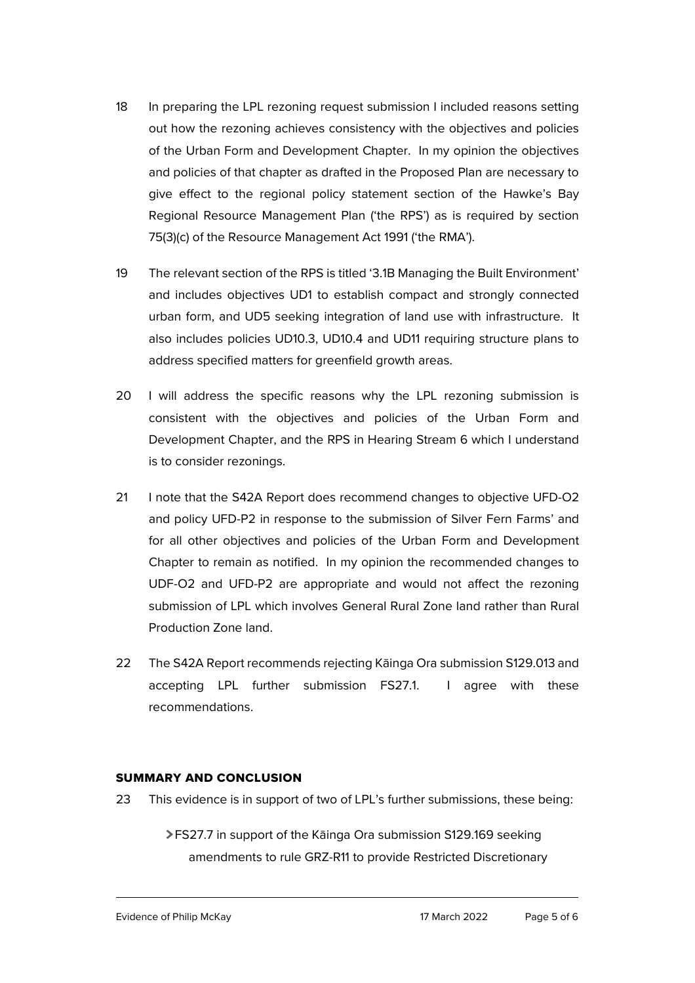- 18 In preparing the LPL rezoning request submission I included reasons setting out how the rezoning achieves consistency with the objectives and policies of the Urban Form and Development Chapter. In my opinion the objectives and policies of that chapter as drafted in the Proposed Plan are necessary to give effect to the regional policy statement section of the Hawke's Bay Regional Resource Management Plan ('the RPS') as is required by section 75(3)(c) of the Resource Management Act 1991 ('the RMA').
- 19 The relevant section of the RPS is titled '3.1B Managing the Built Environment' and includes objectives UD1 to establish compact and strongly connected urban form, and UD5 seeking integration of land use with infrastructure. It also includes policies UD10.3, UD10.4 and UD11 requiring structure plans to address specified matters for greenfield growth areas.
- 20 I will address the specific reasons why the LPL rezoning submission is consistent with the objectives and policies of the Urban Form and Development Chapter, and the RPS in Hearing Stream 6 which I understand is to consider rezonings.
- 21 I note that the S42A Report does recommend changes to objective UFD-O2 and policy UFD-P2 in response to the submission of Silver Fern Farms' and for all other objectives and policies of the Urban Form and Development Chapter to remain as notified. In my opinion the recommended changes to UDF-O2 and UFD-P2 are appropriate and would not affect the rezoning submission of LPL which involves General Rural Zone land rather than Rural Production Zone land.
- 22 The S42A Report recommends rejecting Kāinga Ora submission S129.013 and accepting LPL further submission FS27.1. I agree with these recommendations.

# SUMMARY AND CONCLUSION

- 23 This evidence is in support of two of LPL's further submissions, these being:
	- FS27.7 in support of the Kāinga Ora submission S129.169 seeking amendments to rule GRZ-R11 to provide Restricted Discretionary